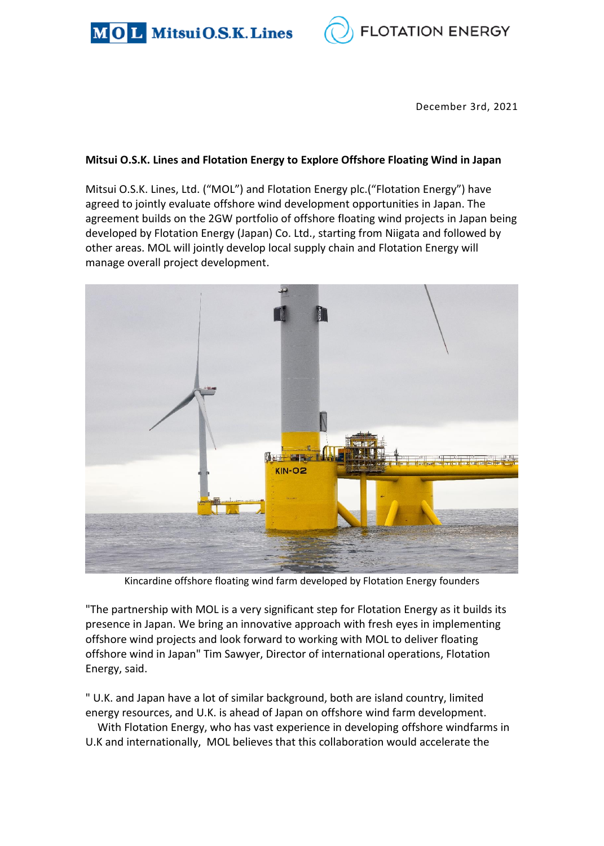



December 3rd, 2021

## **Mitsui O.S.K. Lines and Flotation Energy to Explore Offshore Floating Wind in Japan**

Mitsui O.S.K. Lines, Ltd. ("MOL") and Flotation Energy plc.("Flotation Energy") have agreed to jointly evaluate offshore wind development opportunities in Japan. The agreement builds on the 2GW portfolio of offshore floating wind projects in Japan being developed by Flotation Energy (Japan) Co. Ltd., starting from Niigata and followed by other areas. MOL will jointly develop local supply chain and Flotation Energy will manage overall project development.



Kincardine offshore floating wind farm developed by Flotation Energy founders

"The partnership with MOL is a very significant step for Flotation Energy as it builds its presence in Japan. We bring an innovative approach with fresh eyes in implementing offshore wind projects and look forward to working with MOL to deliver floating offshore wind in Japan" Tim Sawyer, Director of international operations, Flotation Energy, said.

" U.K. and Japan have a lot of similar background, both are island country, limited energy resources, and U.K. is ahead of Japan on offshore wind farm development.

With Flotation Energy, who has vast experience in developing offshore windfarms in U.K and internationally, MOL believes that this collaboration would accelerate the